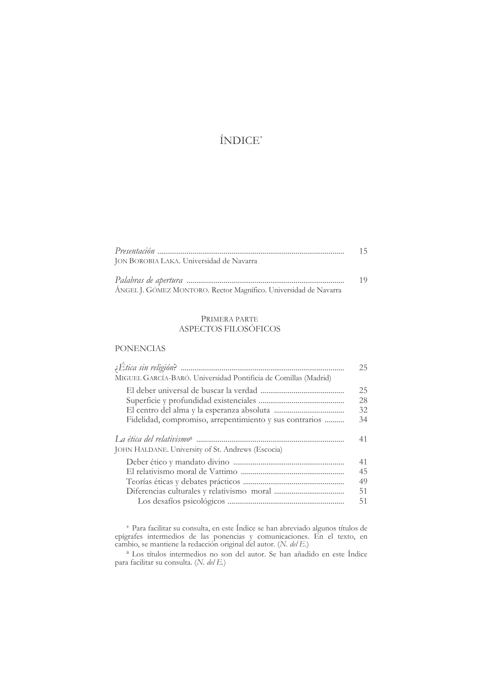# ÍNDICE<sup>\*</sup>

|                                                                  | 1 <sup>5</sup> |
|------------------------------------------------------------------|----------------|
| JON BOROBIA LAKA. Universidad de Navarra                         |                |
|                                                                  | 1 G            |
| ÁNGEL J. GÓMEZ MONTORO. Rector Magnífico. Universidad de Navarra |                |

## PRIMERA PARTE ASPECTOS FILOSÓFICOS

## **PONENCIAS**

| MIGUEL GARCÍA-BARÓ. Universidad Pontificia de Comillas (Madrid)                                        | 25 |
|--------------------------------------------------------------------------------------------------------|----|
|                                                                                                        | 25 |
|                                                                                                        | 28 |
|                                                                                                        | 32 |
| Fidelidad, compromiso, arrepentimiento y sus contrarios                                                | 34 |
| La ética del relativismoª ……………………………………………………………<br>JOHN HALDANE. University of St. Andrews (Escocia) | 41 |
|                                                                                                        | 41 |
|                                                                                                        | 45 |
|                                                                                                        | 49 |
|                                                                                                        | 51 |
|                                                                                                        | 51 |

\* Para facilitar su consulta, en este Índice se han abreviado algunos títulos de epígrafes intermedios de las ponencias y comunicaciones. En el texto, en cambio, se mantiene la redacción original del autor.  $(N. \, del \, E)$ 

<sup>a</sup> Los títulos intermedios no son del autor. Se han añadido en este Índice para facilitar su consulta. (N. del E.)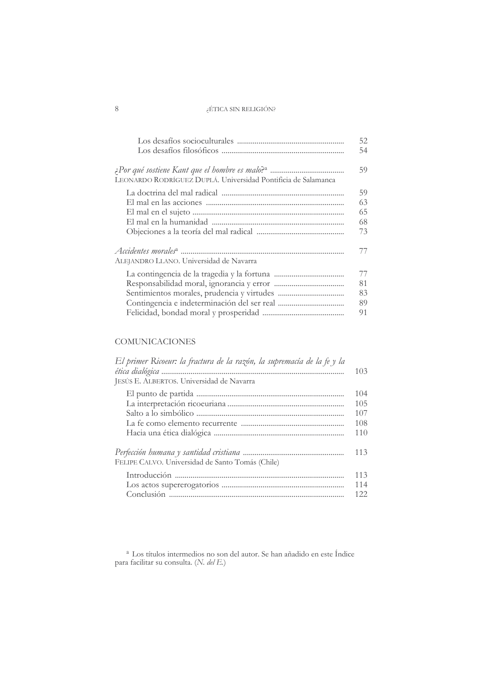|                                                               | 52<br>54 |
|---------------------------------------------------------------|----------|
| LEONARDO RODRÍGUEZ DUPLÁ. Universidad Pontificia de Salamanca | 59       |
|                                                               | 59       |
|                                                               | 63       |
|                                                               | 65       |
|                                                               | 68       |
|                                                               | 73       |
| ALEJANDRO LLANO. Universidad de Navarra                       | 77       |
|                                                               | 77       |
|                                                               | 81       |
|                                                               | 83       |
|                                                               | 89       |
|                                                               | 91       |

# **COMUNICACIONES**

| El primer Ricoeur: la fractura de la razón, la supremacía de la fe y la<br>JESÚS E. ALBERTOS. Universidad de Navarra | 103  |
|----------------------------------------------------------------------------------------------------------------------|------|
|                                                                                                                      | 104  |
|                                                                                                                      | 105  |
|                                                                                                                      | 107  |
|                                                                                                                      | 108  |
|                                                                                                                      | 110  |
| FELIPE CALVO. Universidad de Santo Tomás (Chile)                                                                     | 113  |
|                                                                                                                      | 113  |
|                                                                                                                      | 114  |
|                                                                                                                      | 122. |

 $^{\rm a}$  Los títulos intermedios no son del autor. Se han añadido en este Índice para facilitar su consulta. (N.  $del\ E.)$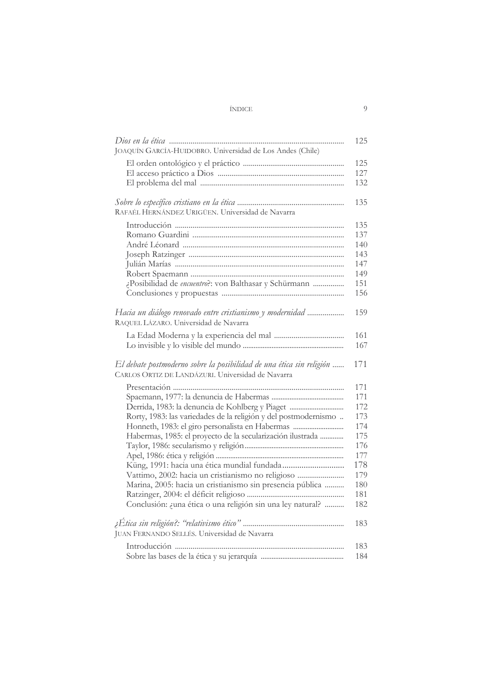## $\operatorname{\acute{I}NDICE}$

| JOAQUÍN GARCÍA-HUIDOBRO. Universidad de Los Andes (Chile)                                                                 | 125        |
|---------------------------------------------------------------------------------------------------------------------------|------------|
|                                                                                                                           |            |
|                                                                                                                           | 125<br>127 |
|                                                                                                                           |            |
|                                                                                                                           | 132        |
|                                                                                                                           | 135        |
| RAFAÉL HERNÁNDEZ URIGÜEN. Universidad de Navarra                                                                          |            |
|                                                                                                                           | 135        |
|                                                                                                                           | 137        |
|                                                                                                                           | 140        |
|                                                                                                                           | 143        |
|                                                                                                                           | 147        |
|                                                                                                                           | 149        |
| ¿Posibilidad de encuentro?: von Balthasar y Schürmann                                                                     | 151        |
|                                                                                                                           | 156        |
| Hacia un diálogo renovado entre cristianismo y modernidad<br>RAQUEL LÁZARO. Universidad de Navarra                        | 159        |
|                                                                                                                           | 161        |
|                                                                                                                           | 167        |
| El debate postmoderno sobre la posibilidad de una ética sin religión<br>CARLOS ORTIZ DE LANDÁZURI. Universidad de Navarra | 171        |
|                                                                                                                           | 171        |
|                                                                                                                           | 171        |
|                                                                                                                           | 172        |
| Rorty, 1983: las variedades de la religión y del postmodernismo                                                           | 173        |
| Honneth, 1983: el giro personalista en Habermas                                                                           | 174        |
| Habermas, 1985: el proyecto de la secularización ilustrada                                                                | 175        |
|                                                                                                                           | 176        |
|                                                                                                                           | 177        |
|                                                                                                                           | 178        |
| Vattimo, 2002: hacia un cristianismo no religioso                                                                         | 179        |
| Marina, 2005: hacia un cristianismo sin presencia pública                                                                 | 180        |
|                                                                                                                           | 181        |
| Conclusión: ¿una ética o una religión sin una ley natural?                                                                | 182        |
|                                                                                                                           |            |
|                                                                                                                           | 183        |
| JUAN FERNANDO SELLÉS. Universidad de Navarra                                                                              |            |
|                                                                                                                           | 183        |
|                                                                                                                           | 184        |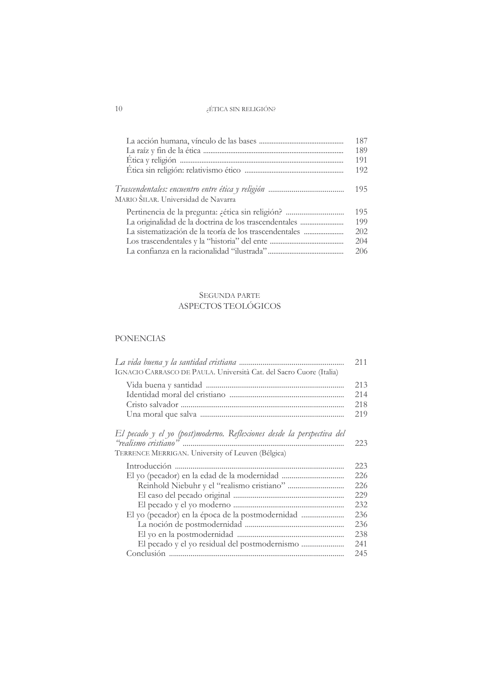|                                                        | 187<br>189 |
|--------------------------------------------------------|------------|
|                                                        | 191        |
|                                                        | 192        |
| MARIO ŜILAR. Universidad de Navarra                    | 195        |
|                                                        | 195        |
| La originalidad de la doctrina de los trascendentales  | 199        |
| La sistematización de la teoría de los trascendentales | 202        |
|                                                        | 204        |
|                                                        | 206        |

## SEGUNDA PARTE ASPECTOS TEOLÓGICOS

## **PONENCIAS**

| IGNACIO CARRASCO DE PAULA. Università Cat. del Sacro Cuore (Italia)   | 211 |
|-----------------------------------------------------------------------|-----|
|                                                                       | 213 |
|                                                                       | 214 |
|                                                                       | 218 |
|                                                                       | 219 |
| El pecado y el yo (post)moderno. Reflexiones desde la perspectiva del |     |
|                                                                       | 223 |
| TERRENCE MERRIGAN. University of Leuven (Bélgica)                     |     |
|                                                                       | 223 |
|                                                                       | 226 |
|                                                                       | 226 |
|                                                                       | 229 |
|                                                                       | 232 |
|                                                                       | 236 |
|                                                                       | 236 |
|                                                                       | 238 |
|                                                                       | 241 |
|                                                                       | 245 |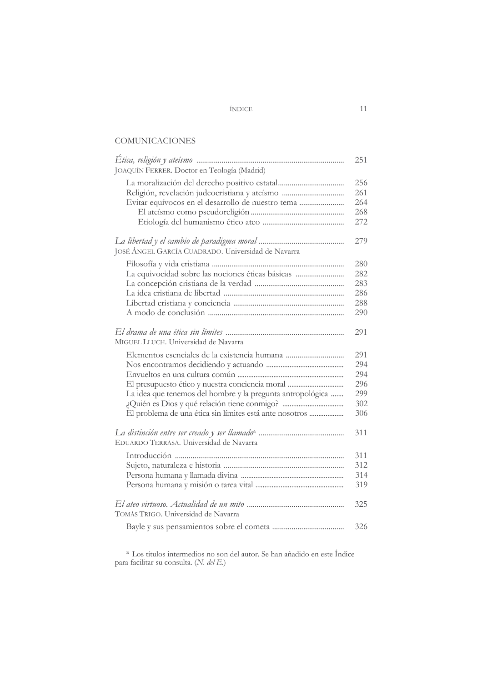#### ÍNDICE

# **COMUNICACIONES**

| JOAQUÍN FERRER. Doctor en Teología (Madrid)                | 251 |
|------------------------------------------------------------|-----|
|                                                            | 256 |
| Religión, revelación judeocristiana y ateísmo              | 261 |
| Evitar equívocos en el desarrollo de nuestro tema          | 264 |
|                                                            | 268 |
|                                                            | 272 |
|                                                            | 279 |
| JOSÉ ÁNGEL GARCÍA CUADRADO. Universidad de Navarra         |     |
|                                                            | 280 |
| La equivocidad sobre las nociones éticas básicas           | 282 |
|                                                            | 283 |
|                                                            | 286 |
|                                                            | 288 |
|                                                            | 290 |
| MIGUEL LLUCH. Universidad de Navarra                       | 291 |
|                                                            | 291 |
|                                                            | 294 |
|                                                            | 294 |
|                                                            | 296 |
| La idea que tenemos del hombre y la pregunta antropológica | 299 |
|                                                            | 302 |
| El problema de una ética sin límites está ante nosotros    | 306 |
| EDUARDO TERRASA. Universidad de Navarra                    | 311 |
|                                                            | 311 |
|                                                            | 312 |
|                                                            | 314 |
|                                                            | 319 |
| TOMÁS TRIGO. Universidad de Navarra                        | 325 |
|                                                            | 326 |

 $^{\rm a}$  Los títulos intermedios no son del autor. Se han añadido en este Índice para facilitar su consulta. (N.  $del\ E.)$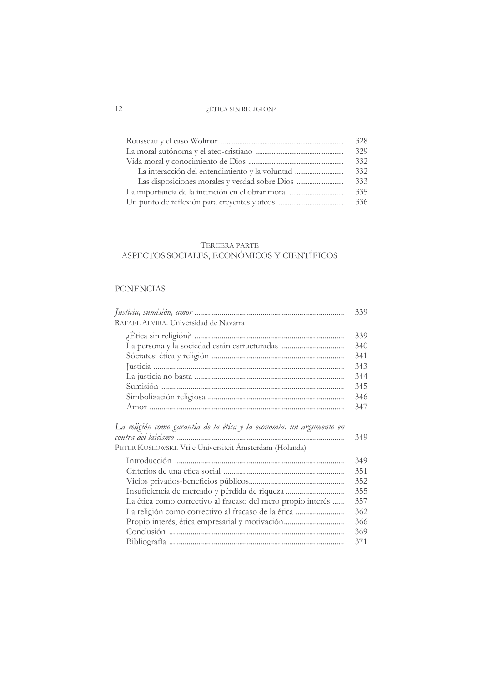| 328 |
|-----|
| 329 |
| 332 |
| 332 |
| 333 |
| 335 |
| 336 |

# TERCERA PARTE ASPECTOS SOCIALES, ECONÓMICOS Y CIENTÍFICOS

## **PONENCIAS**

| RAFAEL ALVIRA. Universidad de Navarra                                                                                           | 339 |
|---------------------------------------------------------------------------------------------------------------------------------|-----|
|                                                                                                                                 | 339 |
|                                                                                                                                 | 340 |
|                                                                                                                                 | 341 |
|                                                                                                                                 | 343 |
|                                                                                                                                 | 344 |
|                                                                                                                                 | 345 |
|                                                                                                                                 | 346 |
|                                                                                                                                 | 347 |
| La religión como garantía de la ética y la economía: un argumento en<br>PETER KOSLOWSKI. Vrije Universiteit Ámsterdam (Holanda) | 349 |
|                                                                                                                                 | 349 |
|                                                                                                                                 | 351 |
|                                                                                                                                 | 352 |
| Insuficiencia de mercado y pérdida de riqueza                                                                                   | 355 |
| La ética como correctivo al fracaso del mero propio interés                                                                     | 357 |
| La religión como correctivo al fracaso de la ética                                                                              | 362 |
| Propio interés, ética empresarial y motivación                                                                                  | 366 |
|                                                                                                                                 | 369 |
|                                                                                                                                 | 371 |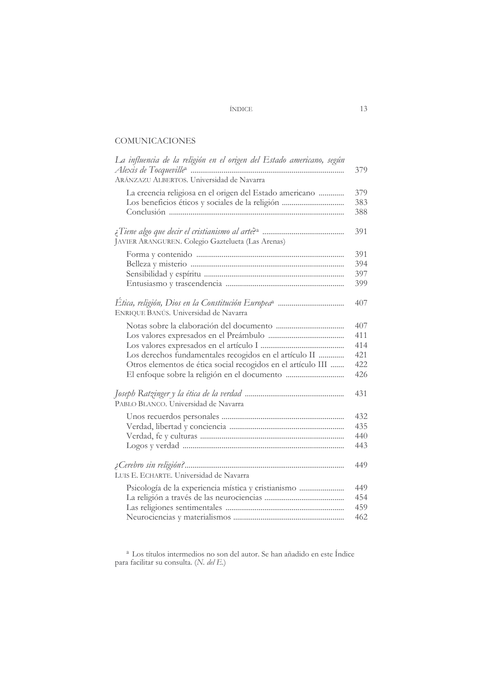## ÍNDICE

# **COMUNICACIONES**

| La influencia de la religión en el origen del Estado americano, según | 379                      |
|-----------------------------------------------------------------------|--------------------------|
| ARÁNZAZU ALBERTOS. Universidad de Navarra                             |                          |
| La creencia religiosa en el origen del Estado americano               | 379<br>383<br>388        |
| JAVIER ARANGUREN. Colegio Gaztelueta (Las Arenas)                     | 391                      |
|                                                                       | 391<br>394<br>397<br>399 |
| ENRIQUE BANÚS. Universidad de Navarra                                 | 407                      |
|                                                                       | 407                      |
|                                                                       | 411<br>414               |
| Los derechos fundamentales recogidos en el artículo II                | 421                      |
| Otros elementos de ética social recogidos en el artículo III          | 422                      |
|                                                                       | 426                      |
| PABLO BLANCO. Universidad de Navarra                                  | 431                      |
|                                                                       | 432                      |
|                                                                       | 435                      |
|                                                                       | 440                      |
|                                                                       | 443                      |
| LUIS E. ECHARTE. Universidad de Navarra                               | 449                      |
| Psicología de la experiencia mística y cristianismo                   | 449                      |
|                                                                       | 454                      |
|                                                                       | 459                      |
|                                                                       | 462                      |

 $^{\rm a}$  Los títulos intermedios no son del autor. Se han añadido en este Índice para facilitar su consulta. (N.  $del\ E$ .)